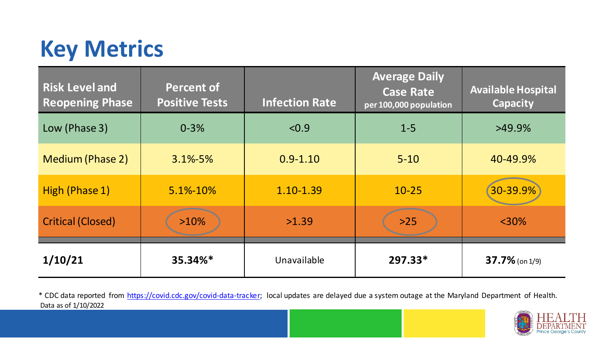## **Key Metrics**

| <b>Risk Level and</b><br><b>Reopening Phase</b> | <b>Percent of</b><br><b>Positive Tests</b> | <b>Infection Rate</b> | <b>Average Daily</b><br><b>Case Rate</b><br>per 100,000 population | <b>Available Hospital</b><br><b>Capacity</b> |
|-------------------------------------------------|--------------------------------------------|-----------------------|--------------------------------------------------------------------|----------------------------------------------|
| Low (Phase 3)                                   | $0 - 3%$                                   | < 0.9                 | $1 - 5$                                                            | $>49.9\%$                                    |
| <b>Medium (Phase 2)</b>                         | $3.1\% - 5\%$                              | $0.9 - 1.10$          | $5 - 10$                                                           | 40-49.9%                                     |
| High (Phase 1)                                  | 5.1%-10%                                   | 1.10-1.39             | $10 - 25$                                                          | 30-39.9%                                     |
| <b>Critical (Closed)</b>                        | $>10\%$                                    | >1.39                 | $>25$                                                              | $<$ 30%                                      |
| 1/10/21                                         | 35.34%*                                    | Unavailable           | 297.33*                                                            | $37.7\%$ (on 1/9)                            |

Data as of 1/10/2022 \* CDC data reported from [https://covid.cdc.gov/covid-data-tracker;](https://covid.cdc.gov/covid-data-tracker) local updates are delayed due a system outage at the Maryland Department of Health.

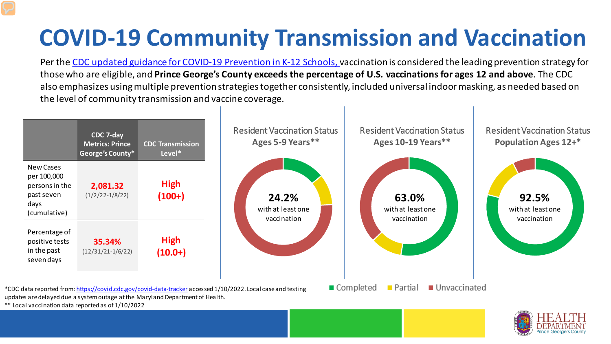## **COVID-19 Community Transmission and Vaccination**

Per the [CDC updated guidance for COVID-19 Prevention in K-12 Schools, v](https://www.cdc.gov/coronavirus/2019-ncov/community/schools-childcare/k-12-guidance.html)accination is considered the leading prevention strategy for those who are eligible, and **Prince George's County exceeds the percentage of U.S. vaccinations for ages 12 and above**. The CDC also emphasizes using multiple prevention strategies together consistently, included universal indoor masking, as needed based on the level of community transmission and vaccine coverage.